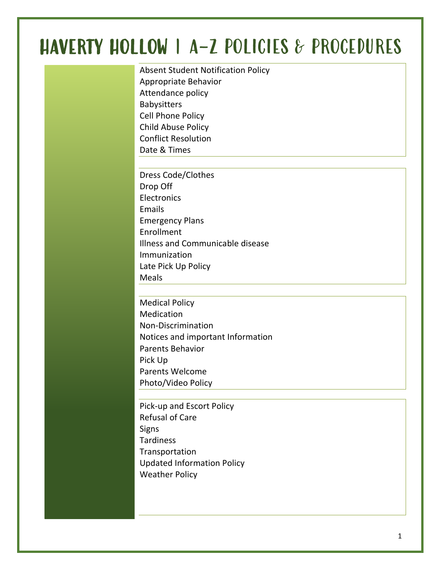# HAVERTY HOLLOW | A-Z POLICIES & PROCEDURES

Absent Student Notification Policy Appropriate Behavior Attendance policy Babysitters Cell Phone Policy Child Abuse Policy Conflict Resolution Date & Times

Dress Code/Clothes Drop Off **Electronics** Emails Emergency Plans Enrollment Illness and Communicable disease Immunization Late Pick Up Policy Meals

Medical Policy Medication Non-Discrimination Notices and important Information Parents Behavior Pick Up Parents Welcome Photo/Video Policy

Pick-up and Escort Policy Refusal of Care **Signs Tardiness** Transportation Updated Information Policy Weather Policy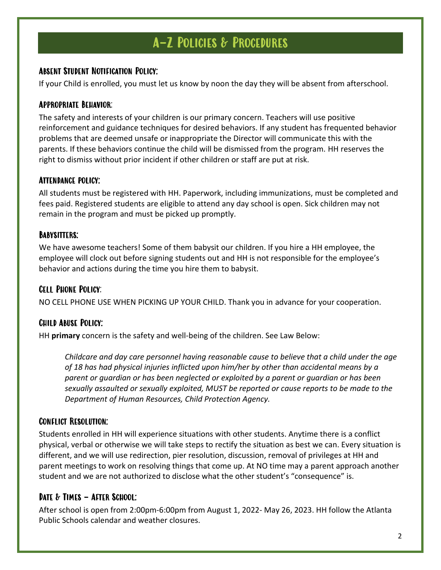#### Absent Student Notification Policy:

If your Child is enrolled, you must let us know by noon the day they will be absent from afterschool.

#### Appropriate Behavior:

The safety and interests of your children is our primary concern. Teachers will use positive reinforcement and guidance techniques for desired behaviors. If any student has frequented behavior problems that are deemed unsafe or inappropriate the Director will communicate this with the parents. If these behaviors continue the child will be dismissed from the program. HH reserves the right to dismiss without prior incident if other children or staff are put at risk.

#### Attendance policy:

All students must be registered with HH. Paperwork, including immunizations, must be completed and fees paid. Registered students are eligible to attend any day school is open. Sick children may not remain in the program and must be picked up promptly.

#### Babysitters:

We have awesome teachers! Some of them babysit our children. If you hire a HH employee, the employee will clock out before signing students out and HH is not responsible for the employee's behavior and actions during the time you hire them to babysit.

#### Cell Phone Policy:

NO CELL PHONE USE WHEN PICKING UP YOUR CHILD. Thank you in advance for your cooperation.

#### Child Abuse Policy:

HH **primary** concern is the safety and well-being of the children. See Law Below:

*Childcare and day care personnel having reasonable cause to believe that a child under the age of 18 has had physical injuries inflicted upon him/her by other than accidental means by a parent or guardian or has been neglected or exploited by a parent or guardian or has been sexually assaulted or sexually exploited, MUST be reported or cause reports to be made to the Department of Human Resources, Child Protection Agency.*

#### Conflict Resolution:

Students enrolled in HH will experience situations with other students. Anytime there is a conflict physical, verbal or otherwise we will take steps to rectify the situation as best we can. Every situation is different, and we will use redirection, pier resolution, discussion, removal of privileges at HH and parent meetings to work on resolving things that come up. At NO time may a parent approach another student and we are not authorized to disclose what the other student's "consequence" is.

#### DATE & TIMES - AFTER SCHOOL:

After school is open from 2:00pm-6:00pm from August 1, 2022- May 26, 2023. HH follow the Atlanta Public Schools calendar and weather closures.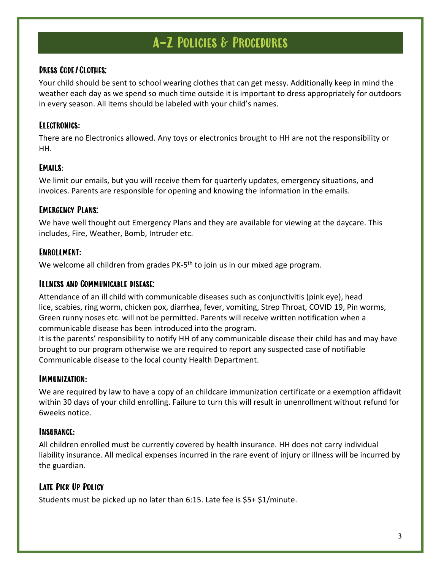#### Dress Code/Clothes:

Your child should be sent to school wearing clothes that can get messy. Additionally keep in mind the weather each day as we spend so much time outside it is important to dress appropriately for outdoors in every season. All items should be labeled with your child's names.

#### Electronics**:**

There are no Electronics allowed. Any toys or electronics brought to HH are not the responsibility or HH.

#### Emails:

We limit our emails, but you will receive them for quarterly updates, emergency situations, and invoices. Parents are responsible for opening and knowing the information in the emails.

#### Emergency Plans:

We have well thought out Emergency Plans and they are available for viewing at the daycare. This includes, Fire, Weather, Bomb, Intruder etc.

#### Enrollment**:**

We welcome all children from grades PK-5<sup>th</sup> to join us in our mixed age program.

#### Illness and Communicable disease:

Attendance of an ill child with communicable diseases such as conjunctivitis (pink eye), head lice, scabies, ring worm, chicken pox, diarrhea, fever, vomiting, Strep Throat, COVID 19, Pin worms, Green runny noses etc. will not be permitted. Parents will receive written notification when a communicable disease has been introduced into the program.

It is the parents' responsibility to notify HH of any communicable disease their child has and may have brought to our program otherwise we are required to report any suspected case of notifiable Communicable disease to the local county Health Department.

#### Immunization**:**

We are required by law to have a copy of an childcare immunization certificate or a exemption affidavit within 30 days of your child enrolling. Failure to turn this will result in unenrollment without refund for 6weeks notice.

#### Insurance**:**

All children enrolled must be currently covered by health insurance. HH does not carry individual liability insurance. All medical expenses incurred in the rare event of injury or illness will be incurred by the guardian.

#### Late Pick Up Policy

Students must be picked up no later than 6:15. Late fee is \$5+ \$1/minute.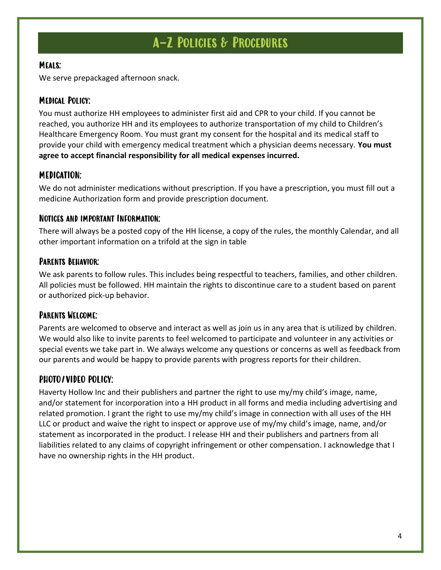#### Meals:

We serve prepackaged afternoon snack.

#### Medical Policy:

You must authorize HH employees to administer first aid and CPR to your child. If you cannot be reached, you authorize HH and its employees to authorize transportation of my child to Children's Healthcare Emergency Room. You must grant my consent for the hospital and its medical staff to provide your child with emergency medical treatment which a physician deems necessary. **You must agree to accept financial responsibility for all medical expenses incurred.**

#### MEDICATION:

We do not administer medications without prescription. If you have a prescription, you must fill out a medicine Authorization form and provide prescription document.

#### Notices and important Information:

There will always be a posted copy of the HH license, a copy of the rules, the monthly Calendar, and all other important information on a trifold at the sign in table

#### Parents Behavior:

We ask parents to follow rules. This includes being respectful to teachers, families, and other children. All policies must be followed. HH maintain the rights to discontinue care to a student based on parent or authorized pick-up behavior.

#### Parents Welcome:

Parents are welcomed to observe and interact as well as join us in any area that is utilized by children. We would also like to invite parents to feel welcomed to participate and volunteer in any activities or special events we take part in. We always welcome any questions or concerns as well as feedback from our parents and would be happy to provide parents with progress reports for their children.

#### PHOTO/VIDEO POLICY:

Haverty Hollow Inc and their publishers and partner the right to use my/my child's image, name, and/or statement for incorporation into a HH product in all forms and media including advertising and related promotion. I grant the right to use my/my child's image in connection with all uses of the HH LLC or product and waive the right to inspect or approve use of my/my child's image, name, and/or statement as incorporated in the product. I release HH and their publishers and partners from all liabilities related to any claims of copyright infringement or other compensation. I acknowledge that I have no ownership rights in the HH product.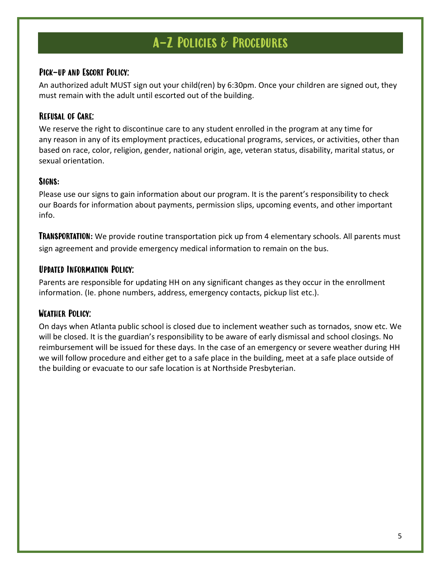#### Pick-up and Escort Policy:

An authorized adult MUST sign out your child(ren) by 6:30pm. Once your children are signed out, they must remain with the adult until escorted out of the building.

#### Refusal of Care:

We reserve the right to discontinue care to any student enrolled in the program at any time for any reason in any of its employment practices, educational programs, services, or activities, other than based on race, color, religion, gender, national origin, age, veteran status, disability, marital status, or sexual orientation.

#### Signs**:**

Please use our signs to gain information about our program. It is the parent's responsibility to check our Boards for information about payments, permission slips, upcoming events, and other important info.

**TRANSPORTATION:** We provide routine transportation pick up from 4 elementary schools. All parents must sign agreement and provide emergency medical information to remain on the bus.

#### Updated Information Policy:

Parents are responsible for updating HH on any significant changes as they occur in the enrollment information. (Ie. phone numbers, address, emergency contacts, pickup list etc.).

#### Weather Policy:

On days when Atlanta public school is closed due to inclement weather such as tornados, snow etc. We will be closed. It is the guardian's responsibility to be aware of early dismissal and school closings. No reimbursement will be issued for these days. In the case of an emergency or severe weather during HH we will follow procedure and either get to a safe place in the building, meet at a safe place outside of the building or evacuate to our safe location is at Northside Presbyterian.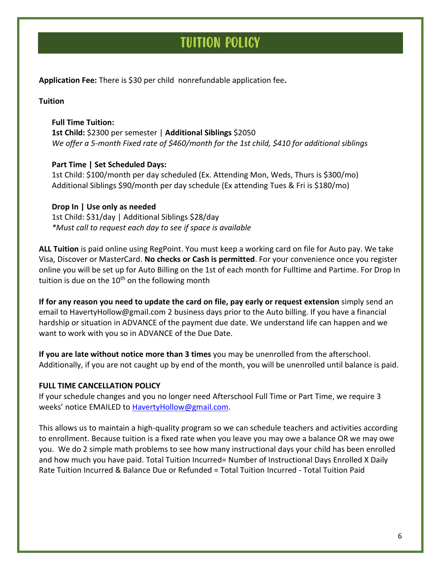### TUITION POLICY

**Application Fee:** There is \$30 per child nonrefundable application fee**.**

**Tuition**

#### **Full Time Tuition:**

**1st Child:** \$2300 per semester | **Additional Siblings** \$2050 *We offer a 5-month Fixed rate of \$460/month for the 1st child, \$410 for additional siblings*

#### **Part Time | Set Scheduled Days:**

1st Child: \$100/month per day scheduled (Ex. Attending Mon, Weds, Thurs is \$300/mo) Additional Siblings \$90/month per day schedule (Ex attending Tues & Fri is \$180/mo)

#### **Drop In | Use only as needed**

1st Child: \$31/day | Additional Siblings \$28/day *\*Must call to request each day to see if space is available*

**ALL Tuition** is paid online using RegPoint. You must keep a working card on file for Auto pay. We take Visa, Discover or MasterCard. **No checks or Cash is permitted**. For your convenience once you register online you will be set up for Auto Billing on the 1st of each month for Fulltime and Partime. For Drop In tuition is due on the  $10<sup>th</sup>$  on the following month

**If for any reason you need to update the card on file, pay early or request extension** simply send an email to HavertyHollow@gmail.com 2 business days prior to the Auto billing. If you have a financial hardship or situation in ADVANCE of the payment due date. We understand life can happen and we want to work with you so in ADVANCE of the Due Date.

**If you are late without notice more than 3 times** you may be unenrolled from the afterschool. Additionally, if you are not caught up by end of the month, you will be unenrolled until balance is paid.

#### **FULL TIME CANCELLATION POLICY**

If your schedule changes and you no longer need Afterschool Full Time or Part Time, we require 3 weeks' notice EMAILED to [HavertyHollow@gmail.com.](mailto:HavertyHollow@gmail.com)

This allows us to maintain a high-quality program so we can schedule teachers and activities according to enrollment. Because tuition is a fixed rate when you leave you may owe a balance OR we may owe you. We do 2 simple math problems to see how many instructional days your child has been enrolled and how much you have paid. Total Tuition Incurred= Number of Instructional Days Enrolled X Daily Rate Tuition Incurred & Balance Due or Refunded = Total Tuition Incurred - Total Tuition Paid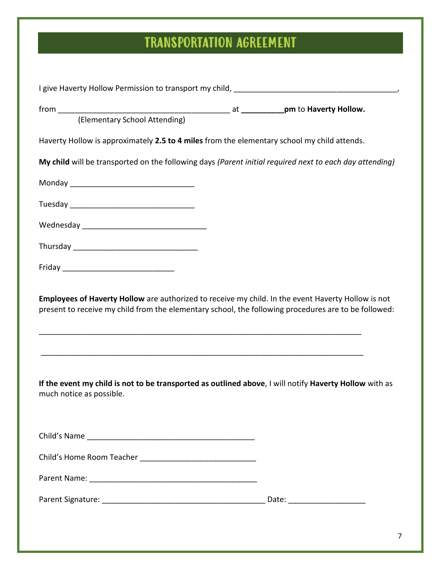# TRANSPORTATION AGREEMENT

| (Elementary School Attending)                                                                                                                                                                              |  |  |
|------------------------------------------------------------------------------------------------------------------------------------------------------------------------------------------------------------|--|--|
| Haverty Hollow is approximately 2.5 to 4 miles from the elementary school my child attends.                                                                                                                |  |  |
| My child will be transported on the following days (Parent initial required next to each day attending)                                                                                                    |  |  |
|                                                                                                                                                                                                            |  |  |
|                                                                                                                                                                                                            |  |  |
|                                                                                                                                                                                                            |  |  |
|                                                                                                                                                                                                            |  |  |
|                                                                                                                                                                                                            |  |  |
| Employees of Haverty Hollow are authorized to receive my child. In the event Haverty Hollow is not<br>present to receive my child from the elementary school, the following procedures are to be followed: |  |  |
|                                                                                                                                                                                                            |  |  |
| If the event my child is not to be transported as outlined above, I will notify Haverty Hollow with as<br>much notice as possible.                                                                         |  |  |
|                                                                                                                                                                                                            |  |  |
|                                                                                                                                                                                                            |  |  |
|                                                                                                                                                                                                            |  |  |